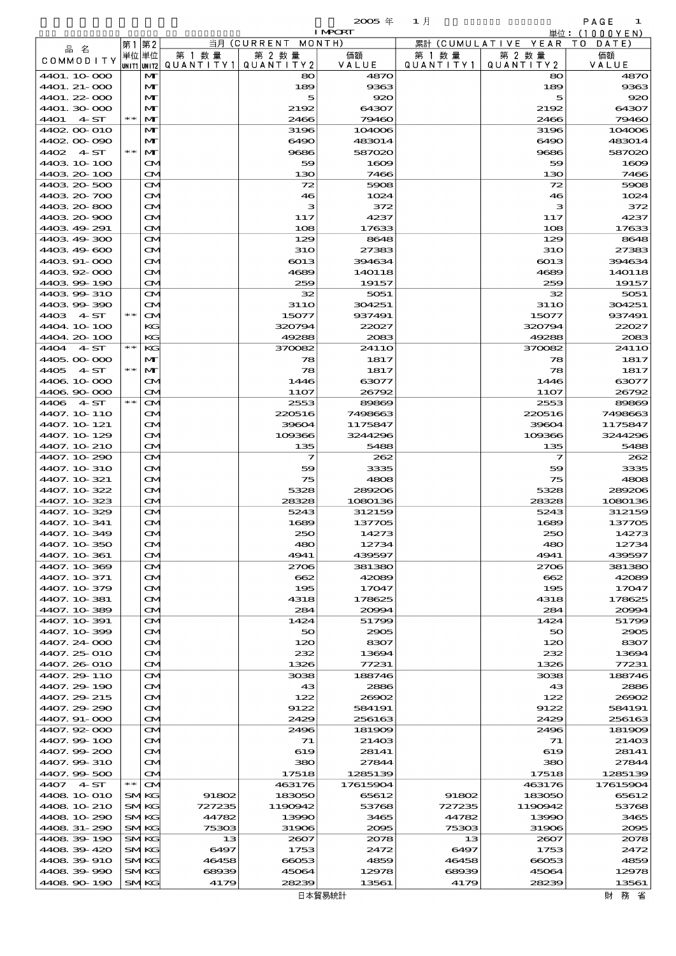$\overline{20005}$   $\overline{4}$  and  $\overline{1}$  and  $\overline{1}$  and  $\overline{1}$  and  $\overline{1}$  and  $\overline{1}$  and  $\overline{1}$  and  $\overline{1}$  and  $\overline{1}$  and  $\overline{1}$  and  $\overline{1}$  and  $\overline{1}$  and  $\overline{1}$  and  $\overline{1}$  and  $\overline{1}$  and  $\overline{1}$  and SEAR CONTAINER COMMON BY COMMON BY COMMON BY COMMON BY COMMON BY COMMON BY COMMON BY COMMON BY COMMON BY COMMON BY COMMON BY COMMON BY COMMON BY COMMON BY COMMON BY COMMON BY COMMON BY COMMON BY COMMON BY COMMON BY COMMON

|  |  | PAGE |  |                          |  |
|--|--|------|--|--------------------------|--|
|  |  |      |  | $(1.0.0.1$ $\sqrt{2.11}$ |  |

|                              | 第1    | 第2                         |                     | 当月 (CURRENT MONTH)   |                  |                      | 累計 (CUMULATIVE YEAR TO DATE) |                       |
|------------------------------|-------|----------------------------|---------------------|----------------------|------------------|----------------------|------------------------------|-----------------------|
| 品名<br>COMMODITY              |       | 単位 単位<br> UNIT1 UNIT2      | 第 1 数量<br>QUANTITY1 | 第 2 数量<br>QUANTITY 2 | 価額<br>VALUE      | 第 1 数 量<br>QUANTITY1 | 第 2 数量<br>QUANTITY 2         | 価額<br>VALUE           |
| 4401.10.000                  |       | M                          |                     | 80                   | 4870             |                      | 80                           | 4870                  |
| 4401. 21-000                 |       | M                          |                     | 189                  | 9363             |                      | 189                          | 9363                  |
| 4401.22-000<br>4401.30 000   |       | M<br>$\mathbf{M}$          |                     | 5<br>2192            | 920<br>64307     |                      | 5<br>2192                    | $\mathbf{R}$<br>64307 |
| 4401<br>4ST                  | $* *$ | M                          |                     | 2466                 | 79460            |                      | 2466                         | 79460                 |
| 4402 00 010                  |       | M                          |                     | 3196                 | 104006           |                      | 3196                         | 104000                |
| 4402.00-090                  |       | M                          |                     | 6490                 | 483014           |                      | 6490                         | 483014                |
| 4402 4 ST                    | $* *$ | M                          |                     | 9686                 | 587020           |                      | 9686                         | 587020                |
| 4403 10 100                  |       | M                          |                     | 59                   | 1609             |                      | 59                           | 1600                  |
| 4403 20 100                  |       | M                          |                     | 130                  | 7466             |                      | 130                          | 7466                  |
| 4403 20 500<br>4403 20 700   |       | M<br>ŒИ                    |                     | 72<br>46             | 5908<br>1024     |                      | 72<br>46                     | 5906<br>$102\epsilon$ |
| 4403 20 800                  |       | ŒИ                         |                     | з                    | 372              |                      | з                            | 372                   |
| 4403 20 900                  |       | ŒИ                         |                     | 117                  | 4237             |                      | 117                          | 4237                  |
| 4403 49 291                  |       | ŒИ                         |                     | 108                  | 17633            |                      | 108                          | 17633                 |
| 4403 49 300                  |       | M                          |                     | 129                  | 8648             |                      | 129                          | 8648                  |
| 4403 49 600                  |       | ŒИ                         |                     | <b>31O</b>           | 27383            |                      | <b>31O</b>                   | 27383                 |
| 4403 91-000                  |       | ŒИ                         |                     | 6013                 | 394634           |                      | $\boldsymbol{6013}$          | 394634                |
| 4403.92-000<br>4403 99 190   |       | ŒИ<br><b>CM</b>            |                     | 4689<br>259          | 140118<br>19157  |                      | 4689<br>259                  | 140118<br>19157       |
| 4403 99 310                  |       | M                          |                     | 32                   | 5051             |                      | 32                           | 5051                  |
| 440399390                    |       | $\mathbf{\Omega}$          |                     | 31 1 O               | 304251           |                      | 31 1 O                       | 304251                |
| 4403 4 ST                    | $* *$ | $\mathbf{\Omega}$          |                     | 15077                | 937491           |                      | 15077                        | 937491                |
| 4404.10-100                  |       | КG                         |                     | 320794               | 22027            |                      | 320794                       | 22027                 |
| 4404.20-100                  |       | KG                         |                     | 49288                | 2083             |                      | 49288                        | 2083                  |
| 4 ST<br>4404                 | $**$  | KG                         |                     | 370082               | 2411O            |                      | 370082                       | 2411 <sub>C</sub>     |
| 4405,000 000                 |       | M                          |                     | 78                   | 1817             |                      | 78                           | 1817                  |
| 4405<br>4 ST                 | $* *$ | M                          |                     | 78                   | 1817             |                      | 78                           | 1817                  |
| 4406 10 000<br>4406.90-000   |       | M<br>$\mathbf{\Omega}$     |                     | 1446<br>11O7         | 63077<br>26792   |                      | 1446<br><b>11O7</b>          | 6307<br>26792         |
| 4406 4 ST                    | $**$  | $\mathbf{\Omega}$          |                     | 2553                 | 89869            |                      | 2553                         | 8980                  |
| 4407. 10 110                 |       | M                          |                     | 220516               | 7498663          |                      | 220516                       | 749866                |
| 4407. 10 121                 |       | CМ                         |                     | 39604                | 1175847          |                      | 39604                        | 1175847               |
| 4407.10-129                  |       | ŒИ                         |                     | 109366               | 3244296          |                      | 109366                       | 3244296               |
| 4407.10 210                  |       | $\mathbf{\alpha}$          |                     | 135                  | 5488             |                      | 135                          | 5488                  |
| 4407.10-290                  |       | M                          |                     | 7                    | 262              |                      | 7                            | 262                   |
| 4407. 10 310                 |       | ŒИ                         |                     | 59                   | 3335             |                      | 59                           | 3335                  |
| 4407. 10 321<br>4407.10-322  |       | CМ<br>ŒИ                   |                     | 75<br>5328           | 4808<br>289206   |                      | 75<br>5328                   | 4806<br>289206        |
| 4407.10-323                  |       | <b>CM</b>                  |                     | 28328                | 1080136          |                      | 28328                        | 1080136               |
| 4407.10-329                  |       | M                          |                     | 5243                 | 312159           |                      | 5243                         | 312159                |
| 4407. 10 341                 |       | M                          |                     | 1689                 | 137705           |                      | 1689                         | 13770E                |
| 4407.10-349                  |       | ŒИ                         |                     | 250                  | 14273            |                      | 250                          | 14273                 |
| 4407, 10 350                 |       | ŒМ                         |                     | 480                  | 12734            |                      | 480                          | 12734                 |
| 4407. 10 361                 |       | ŒИ                         |                     | 4941                 | 439597           |                      | 4941                         | 439597                |
| 4407.10-369                  |       | M                          |                     | 2706                 | 381380           |                      | 2706                         | 381380                |
| 4407. 10. 371<br>4407.10-379 |       | ŒИ<br>CМ                   |                     | 662<br>195           | 42089<br>17047   |                      | 662<br>195                   | 42089<br>17047        |
| 4407. 10 381                 |       | ŒИ                         |                     | 4318                 | 178625           |                      | 4318                         | 178625                |
| 4407.10-389                  |       | ŒИ                         |                     | 284                  | 20094            |                      | 284                          | 2000                  |
| 4407.10-391                  |       | M                          |                     | 1424                 | 51799            |                      | 1424                         | 51799                 |
| 4407.10.399                  |       | ŒИ                         |                     | 50                   | 2905             |                      | 50                           | 2900                  |
| 4407.24 000                  |       | ŒИ                         |                     | 120                  | 8307             |                      | 120                          | 8307                  |
| 4407.25 010                  |       | ŒИ                         |                     | 232                  | 13694            |                      | 232                          | 13694                 |
| 4407.26-010<br>4407.29 110   |       | ŒИ<br>M                    |                     | 1326<br>3038         | 77231<br>188746  |                      | 1326<br>3038                 | 77231<br>188746       |
| 4407.29-190                  |       | ŒИ                         |                     | 43                   | 2886             |                      | 43                           | 2886                  |
| 4407.29 215                  |       | CМ                         |                     | 122                  | 26902            |                      | 122                          | 20000                 |
| 4407.29.290                  |       | ŒИ                         |                     | 9122                 | 584191           |                      | 9122                         | 584191                |
| 4407. 91-000                 |       | ŒИ                         |                     | 2429                 | 256163           |                      | 2429                         | 256163                |
| 4407.92-000                  |       | M                          |                     | 2496                 | 181909           |                      | 2496                         | 181909                |
| 4407.99 100                  |       | M                          |                     | 71                   | 21403            |                      | 71                           | 21400                 |
| 4407.99-200                  |       | M                          |                     | 619                  | 28141            |                      | 619                          | 28141                 |
| 4407.99-310<br>4407.99-500   |       | ŒИ<br><b>CM</b>            |                     | 380<br>17518         | 27844<br>1285139 |                      | 380<br>17518                 | 27844<br>1285139      |
| 4407<br>4- ST                | $**$  | <b>CM</b>                  |                     | 463176               | 17615904         |                      | 463176                       | 17615904              |
| 4408 10 010                  |       | <b>SMKG</b>                | 91802               | 183050               | 65612            | 91802                | 183050                       | 65612                 |
| 4408 10 210                  |       | <b>SMKG</b>                | 727235              | 1190942              | 53768            | 727235               | 1190942                      | 5376                  |
| 4408 10 290                  |       | <b>SMKG</b>                | 44782               | 13990                | 3465             | 44782                | 13990                        | 3465                  |
| 4408 31-290                  |       | <b>SMKG</b>                | 75303               | 31906                | 2095             | 75303                | 31906                        | 2005                  |
| 4408 39 190                  |       | <b>SMKG</b>                | 13                  | 2607                 | 2078             | 13                   | 2607                         | 2078                  |
| 440839420                    |       | <b>SMKG</b>                | 6497                | 1753                 | 2472             | 6497                 | 1753                         | 2472                  |
| 4408.39-910                  |       | <b>SMKG</b><br><b>SMKG</b> | 46458<br>68939      | 66053<br>45064       | 4859<br>12978    | 46458<br>68939       | 66053<br>45064               | 4859<br>12978         |
| 4408 39 990<br>4408 90 190   |       | <b>SMKG</b>                | 4179                | 28239                | 13561            | 4179                 | 28239                        | 13561                 |
|                              |       |                            |                     |                      |                  |                      |                              |                       |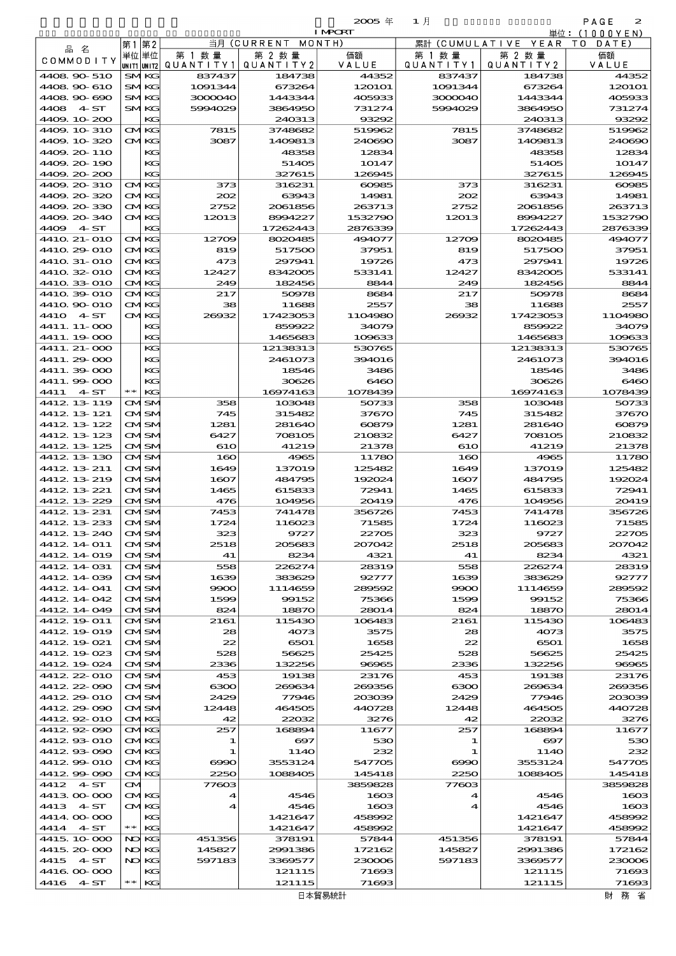$\overline{20005}$   $\overline{4}$  and  $\overline{1}$   $\overline{1}$  and  $\overline{1}$  and  $\overline{1}$  and  $\overline{2}$  and  $\overline{2}$  and  $\overline{2}$  and  $\overline{2}$  and  $\overline{2}$  and  $\overline{2}$  and  $\overline{2}$  and  $\overline{2}$  and  $\overline{2}$  and  $\overline{2}$  and  $\overline{2}$  and  $\overline$ 

| $\cdots$<br>. .<br>the contract of the contract of<br>o esta<br>.,<br>٠<br>., | <br>٠ |  |
|-------------------------------------------------------------------------------|-------|--|
| ∼                                                                             |       |  |

|                             |                            |                       |                      |                                 | <b>I MPORT</b>   |                              |                                 | 単位: (1000 Y E N) |
|-----------------------------|----------------------------|-----------------------|----------------------|---------------------------------|------------------|------------------------------|---------------------------------|------------------|
| 品名                          | 第1                         | 第2                    |                      | 当月(CURRENT                      | MONTH)           | 累計(CUMULATIVE                | YEAR                            | T O<br>DATE      |
| COMMODITY                   | 単位 単位                      |                       | 第 1 数 量<br>QUANTITY1 | 第 2 数量<br>QUANTITY2             | 価額<br>VALUE      | 第 1 数 暈<br>Q U A N T I T Y 1 | 第 2 数量<br>QUANTITY 2            | 価額<br>VALUE      |
| 4408.90-510                 | UNIT1 UNIT2<br><b>SMKG</b> |                       | 837437               | 184738                          | 44352            | 837437                       | 184738                          | 44352            |
| 4408.90-610                 | <b>SMKG</b>                |                       | 1091344              | 673264                          | 120101           | 1091344                      | 673264                          | 120101           |
| 4408.90-690                 | <b>SMKG</b>                |                       | 3000040              | 1443344                         | 405933           | 3000040                      | 1443344                         | 405933           |
| 4408 4 ST                   | SMKG                       |                       | 5994029              | 3864950                         | 731274           | 5994029                      | 3864950                         | 731274           |
| 4409.10-200                 |                            | KG                    |                      | 240313                          | 93292            |                              | 240313                          | 93292            |
| 4409.10-310<br>4409.10.320  | <b>CMKG</b><br>CMKG        |                       | 7815<br>3087         | 3748682<br>1409813              | 519962<br>240690 | 7815<br>3087                 | 3748682<br>1409813              | 519962<br>240690 |
| 4409.20-110                 |                            | KG                    |                      | 48358                           | 12834            |                              | 48358                           | 12834            |
| 4409, 20-190                |                            | KG                    |                      | 51405                           | 10147            |                              | 51405                           | 10147            |
| 4409.20-200                 |                            | KG                    |                      | 327615                          | 126945           |                              | 327615                          | 126945           |
| 4409.20-310                 | <b>CMKG</b>                |                       | 373                  | 316231                          | 60985            | 373                          | 316231                          | 60985            |
| 4409.20-320<br>4409.20-330  | CMKG<br>CMKG               |                       | 202<br>2752          | 63943<br>2061856                | 14981<br>263713  | 202<br>2752                  | 63943<br>2061856                | 14981<br>263713  |
| 4409.20-340                 | <b>CMKG</b>                |                       | 12013                | 8994227                         | 1532790          | 12013                        | 8994227                         | 1532790          |
| 4409<br>4ST                 |                            | KG                    |                      | 17262443                        | 2876339          |                              | 17262443                        | 2876339          |
| 4410 21-010                 | <b>CMKG</b>                |                       | 12709                | 8020485                         | 494077           | 12709                        | 8020485                         | 494077           |
| 4410 29 010                 | <b>CMKG</b>                |                       | 819                  | 517500                          | 37951            | 819                          | 517500                          | 37951            |
| 4410 31-010                 | CMKG                       |                       | 473                  | 297941                          | 19726            | 473                          | 297941                          | 19726            |
| 4410 32 010<br>4410 33 010  | <b>CMKG</b><br><b>CMKG</b> |                       | 12427<br>249         | 8342005<br>182456               | 533141<br>8844   | 12427<br>249                 | 8342005<br>182456               | 533141<br>8844   |
| 4410 39 010                 | CMKG                       |                       | 217                  | 50978                           | 8684             | 217                          | 50978                           | 8684             |
| 4410. 90-010                | <b>CMKG</b>                |                       | 38                   | 11688                           | 2557             | 38                           | 11688                           | 2557             |
| 4410 4 ST                   | CMKG                       |                       | 26932                | 17423053                        | 1104980          | 26932                        | 17423053                        | 1104980          |
| 4411. 11- 000               |                            | KС                    |                      | 859922                          | 34079            |                              | 859922                          | 34079            |
| 4411.19-000                 |                            | KG                    |                      | 1465683                         | 109633           |                              | 1465683                         | 109633           |
| 4411. 21-000<br>4411.29-000 |                            | KG<br>KG              |                      | 12138313<br>2461073             | 530765<br>394016 |                              | 12138313<br>2461073             | 530765<br>394016 |
| 4411.39-000                 |                            | KG                    |                      | 18546                           | 3486             |                              | 18546                           | 3486             |
| 4411.99-000                 |                            | KG                    |                      | 30626                           | 6460             |                              | 30626                           | 6460             |
| 4411<br>4ST                 | $* *$                      | KG                    |                      | 16974163                        | 1078439          |                              | 16974163                        | 1078439          |
| 4412 13 119                 |                            | <b>CMISM</b>          | 358                  | 103048                          | 50733            | 358                          | 103048                          | 50733            |
| 4412 13 121                 |                            | CMSM                  | 745                  | 315482                          | 37670            | 745                          | 315482                          | 37670            |
| 4412 13 122<br>4412 13 123  |                            | CMSM<br>CMISM         | 1281<br>6427         | 281640<br>708105                | 60879<br>210832  | 1281<br>6427                 | 281640<br>708105                | 60879<br>210832  |
| 4412 13 125                 |                            | CMSM                  | 610                  | 41219                           | 21378            | 610                          | 41219                           | 21378            |
| 4412 13 130                 |                            | CMSM                  | 160                  | 4965                            | 11780            | 160                          | 4965                            | 11780            |
| 4412 13 211                 |                            | CMISM                 | 1649                 | 137019                          | 125482           | 1649                         | 137019                          | 125482           |
| 4412 13 219                 |                            | CMSM                  | 1607                 | 484795                          | 192024           | 1607                         | 484795                          | 192024           |
| 4412 13 221                 |                            | CMISM                 | 1465                 | 615833                          | 72941            | 1465                         | 615833                          | 72941            |
| 4412 13 229<br>4412 13 231  |                            | CMSM<br>CMSM          | 476<br>7453          | 104956<br>741478                | 20419<br>356726  | 476<br>7453                  | 104956<br>741478                | 20419<br>356726  |
| 4412 13 233                 |                            | CMISM                 | 1724                 | 116023                          | 71585            | 1724                         | 116023                          | 71585            |
| 4412 13 240                 |                            | SN                    | 323                  | 9727                            | 22705            | 323                          | 9727                            | 22705            |
| 4412, 14, 011               |                            | CMISM                 | 2518                 | 205683                          | 207042           | 2518                         | 205683                          | 207042           |
| 4412 14 019                 |                            | <b>CMSM</b>           | 41                   | 8234                            | 4321             | 41                           | 8234                            | 4321             |
| 4412 14 031                 |                            | CMISM                 | 558                  | 226274                          | 28319            | 558                          | 226274                          | 28319            |
| 4412 14 039<br>4412 14 041  |                            | CMISM<br>CMISM        | 1639<br>9900         | 383629<br>1114659               | 92777<br>289592  | 1639<br>9900                 | 383629<br>1114659               | 92777<br>289592  |
| 4412 14 042                 |                            | CMISM                 | 1599                 | 99152                           | 75366            | 1599                         | 99152                           | 75366            |
| 4412 14 049                 |                            | <b>CMISM</b>          | 824                  | 18870                           | 28014            | 824                          | 18870                           | 28014            |
| 4412 19 011                 |                            | CMISM                 | 2161                 | 115430                          | 106483           | 2161                         | 115430                          | 106483           |
| 4412 19 019                 |                            | CMISM                 | 28                   | 4073                            | 3575             | 28                           | 4073                            | 3575             |
| 4412. 19 021                |                            | CMISM                 | 22                   | 6501                            | 1658             | 22                           | 6501                            | 1658             |
| 4412 19 023<br>4412 19 024  |                            | CMISM<br><b>CMISM</b> | 528<br>2336          | 56625<br>132256                 | 25425<br>96965   | 528<br>2336                  | 56625<br>132256                 | 25425<br>96965   |
| 4412 22 010                 |                            | CMISM                 | 453                  | 19138                           | 23176            | 453                          | 19138                           | 23176            |
| 4412.22-090                 |                            | CMISM                 | 6300                 | 269634                          | 269356           | 6300                         | 269634                          | 269356           |
| 4412 29 010                 |                            | CMISM                 | 2429                 | 77946                           | 203039           | 2429                         | 77946                           | 203039           |
| 4412.29-090                 |                            | CMISM                 | 12448                | 464505                          | 440728           | 12448                        | 464505                          | 440728           |
| 441292010                   | <b>CMKG</b>                |                       | 42                   | 22032                           | 3276             | 42                           | 22032                           | 3276             |
| 4412.92-090<br>441293010    | <b>CMKG</b><br><b>CMKG</b> |                       | 257<br>1             | 168894<br>$\boldsymbol{\infty}$ | 11677<br>530     | 257<br>1                     | 168894<br>$\boldsymbol{\alpha}$ | 11677<br>530     |
| 441293090                   | CMKG                       |                       | 1                    | 114O                            | 232              | 1                            | 114O                            | 232              |
| 441299010                   | CMKG                       |                       | $\infty$             | 3553124                         | 547705           | $\bf{6}$                     | 3553124                         | 547705           |
| 441299090                   | CMKG                       |                       | 2250                 | 1088405                         | 145418           | 2250                         | 1088405                         | 145418           |
| 4412 4 ST                   | CМ                         |                       | 77603                |                                 | 3859828          | 77603                        |                                 | 3859828          |
| 441300000                   | <b>CMKG</b><br><b>CMKG</b> |                       | 4                    | 4546                            | 1603             | 4                            | 4546                            | 1603             |
| 4413 4 ST<br>4414.00-000    |                            | KС                    | 4                    | 4546<br>1421647                 | 1603<br>458992   | 4                            | 4546<br>1421647                 | 1603<br>458992   |
| 4414<br>4ST                 | ∗∗                         | KG                    |                      | 1421647                         | 458992           |                              | 1421647                         | 458992           |
| 4415، 10،000                | NO KG                      |                       | 451356               | 378191                          | 57844            | 451356                       | 378191                          | 57844            |
| 4415.20-000                 | NO                         | KG                    | 145827               | 2991386                         | 172162           | 145827                       | 2991386                         | 172162           |
| 4415 4 ST                   | NO KG                      |                       | 597183               | 3369577                         | 230006           | 597183                       | 3369577                         | 230006           |
| 4416.000.000<br>4416<br>4ST | ∗∗                         | KG<br>KG              |                      | 121115<br>121115                | 71693<br>71693   |                              | 121115<br>121115                | 71693<br>71693   |
|                             |                            |                       |                      |                                 |                  |                              |                                 |                  |